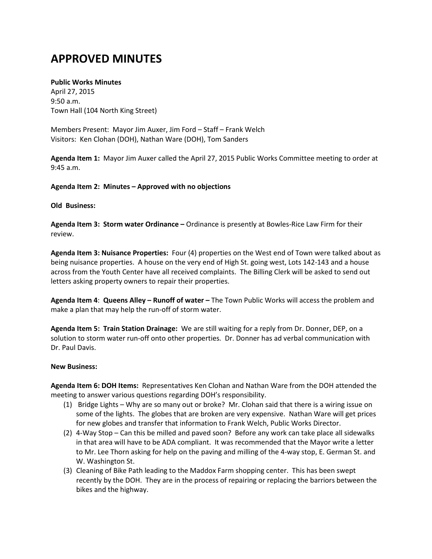# **APPROVED MINUTES**

## **Public Works Minutes**

April 27, 2015 9:50 a.m. Town Hall (104 North King Street)

Members Present: Mayor Jim Auxer, Jim Ford – Staff – Frank Welch Visitors: Ken Clohan (DOH), Nathan Ware (DOH), Tom Sanders

**Agenda Item 1:** Mayor Jim Auxer called the April 27, 2015 Public Works Committee meeting to order at 9:45 a.m.

## **Agenda Item 2: Minutes – Approved with no objections**

#### **Old Business:**

**Agenda Item 3: Storm water Ordinance –** Ordinance is presently at Bowles-Rice Law Firm for their review.

**Agenda Item 3: Nuisance Properties:** Four (4) properties on the West end of Town were talked about as being nuisance properties. A house on the very end of High St. going west, Lots 142-143 and a house across from the Youth Center have all received complaints. The Billing Clerk will be asked to send out letters asking property owners to repair their properties.

**Agenda Item 4**: **Queens Alley – Runoff of water –** The Town Public Works will access the problem and make a plan that may help the run-off of storm water.

**Agenda Item 5: Train Station Drainage:** We are still waiting for a reply from Dr. Donner, DEP, on a solution to storm water run-off onto other properties. Dr. Donner has ad verbal communication with Dr. Paul Davis.

#### **New Business:**

**Agenda Item 6: DOH Items:** Representatives Ken Clohan and Nathan Ware from the DOH attended the meeting to answer various questions regarding DOH's responsibility.

- (1) Bridge Lights Why are so many out or broke? Mr. Clohan said that there is a wiring issue on some of the lights. The globes that are broken are very expensive. Nathan Ware will get prices for new globes and transfer that information to Frank Welch, Public Works Director.
- (2) 4-Way Stop Can this be milled and paved soon? Before any work can take place all sidewalks in that area will have to be ADA compliant. It was recommended that the Mayor write a letter to Mr. Lee Thorn asking for help on the paving and milling of the 4-way stop, E. German St. and W. Washington St.
- (3) Cleaning of Bike Path leading to the Maddox Farm shopping center. This has been swept recently by the DOH. They are in the process of repairing or replacing the barriors between the bikes and the highway.